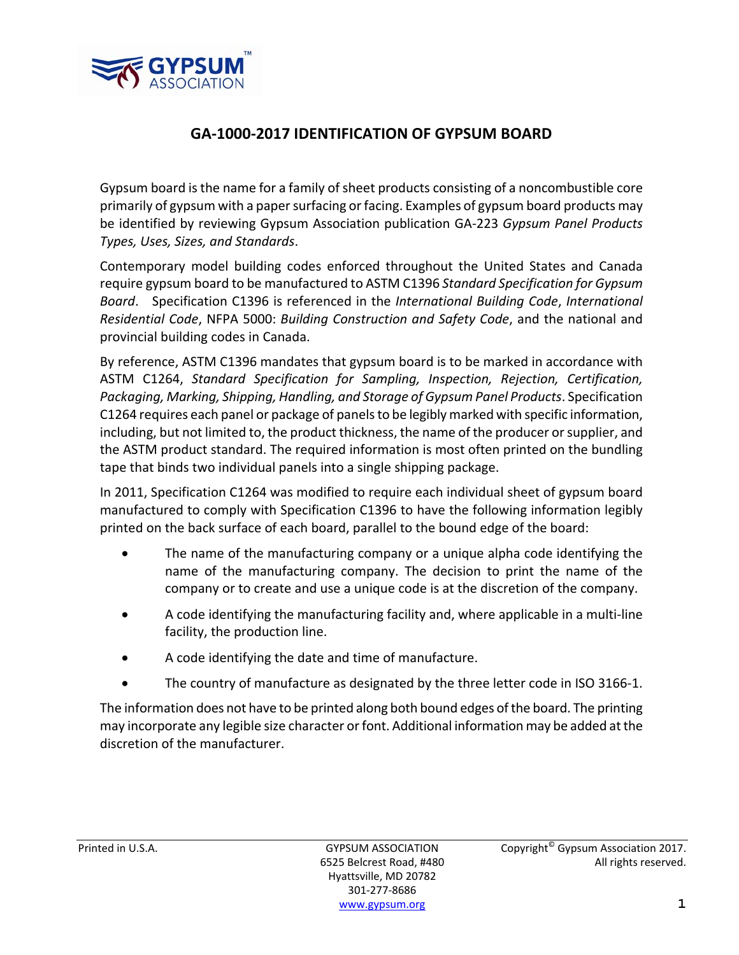

## **GA‐1000‐2017 IDENTIFICATION OF GYPSUM BOARD**

Gypsum board is the name for a family of sheet products consisting of a noncombustible core primarily of gypsum with a papersurfacing orfacing. Examples of gypsum board products may be identified by reviewing Gypsum Association publication GA‐223 *Gypsum Panel Products Types, Uses, Sizes, and Standards*.

Contemporary model building codes enforced throughout the United States and Canada require gypsum board to be manufactured to ASTM C1396 *Standard Specification for Gypsum Board*. Specification C1396 is referenced in the *International Building Code*, *International Residential Code*, NFPA 5000: *Building Construction and Safety Code*, and the national and provincial building codes in Canada.

By reference, ASTM C1396 mandates that gypsum board is to be marked in accordance with ASTM C1264, *Standard Specification for Sampling, Inspection, Rejection, Certification, Packaging, Marking, Shipping, Handling, and Storage of Gypsum Panel Products*. Specification C1264 requires each panel or package of panelsto be legibly marked with specific information, including, but not limited to, the product thickness, the name of the producer or supplier, and the ASTM product standard. The required information is most often printed on the bundling tape that binds two individual panels into a single shipping package.

In 2011, Specification C1264 was modified to require each individual sheet of gypsum board manufactured to comply with Specification C1396 to have the following information legibly printed on the back surface of each board, parallel to the bound edge of the board:

- The name of the manufacturing company or a unique alpha code identifying the name of the manufacturing company. The decision to print the name of the company or to create and use a unique code is at the discretion of the company.
- A code identifying the manufacturing facility and, where applicable in a multi‐line facility, the production line.
- A code identifying the date and time of manufacture.
- The country of manufacture as designated by the three letter code in ISO 3166‐1.

The information does not have to be printed along both bound edges ofthe board. The printing may incorporate any legible size character or font. Additional information may be added at the discretion of the manufacturer.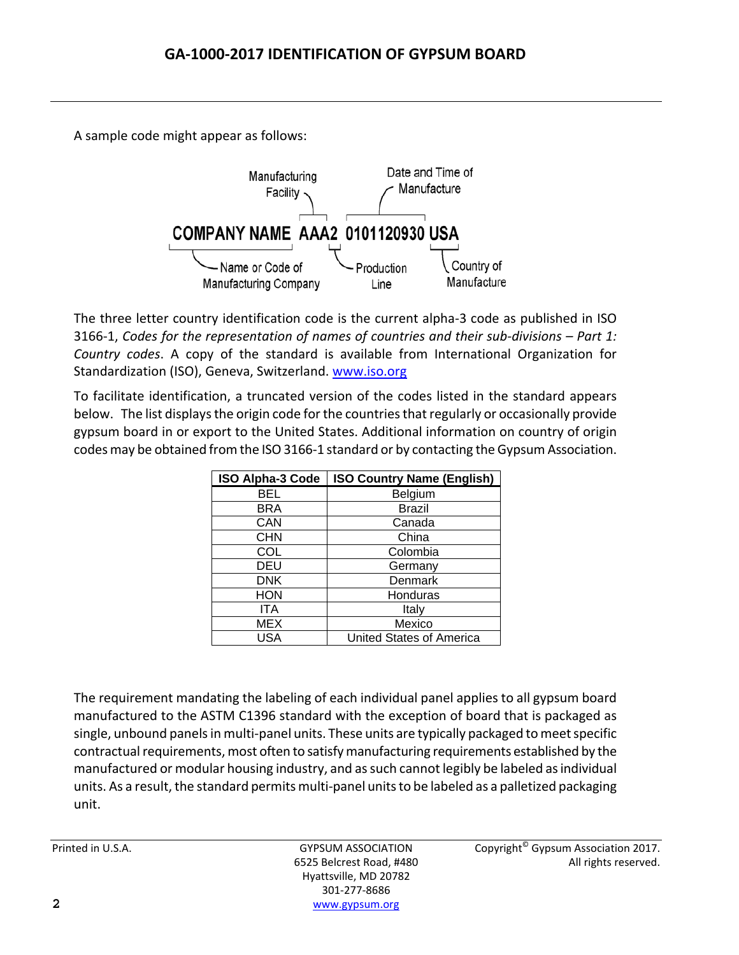A sample code might appear as follows:



The three letter country identification code is the current alpha‐3 code as published in ISO 3166‐1, *Codes for the representation of names of countries and their sub‐divisions – Part 1: Country codes*. A copy of the standard is available from International Organization for Standardization (ISO), Geneva, Switzerland. www.iso.org

To facilitate identification, a truncated version of the codes listed in the standard appears below. The list displays the origin code for the countries that regularly or occasionally provide gypsum board in or export to the United States. Additional information on country of origin codes may be obtained from the ISO 3166-1 standard or by contacting the Gypsum Association.

| <b>ISO Alpha-3 Code</b> | <b>ISO Country Name (English)</b> |
|-------------------------|-----------------------------------|
| BEL                     | <b>Belgium</b>                    |
| BRA                     | Brazil                            |
| CAN                     | Canada                            |
| <b>CHN</b>              | China                             |
| COL                     | Colombia                          |
| DEU                     | Germany                           |
| <b>DNK</b>              | Denmark                           |
| HON                     | Honduras                          |
| ITA                     | Italy                             |
| MEX                     | Mexico                            |
| USA                     | United States of America          |

The requirement mandating the labeling of each individual panel applies to all gypsum board manufactured to the ASTM C1396 standard with the exception of board that is packaged as single, unbound panels in multi-panel units. These units are typically packaged to meet specific contractual requirements, most often to satisfy manufacturing requirements established by the manufactured or modular housing industry, and as such cannot legibly be labeled as individual units. As a result, the standard permits multi-panel units to be labeled as a palletized packaging unit.